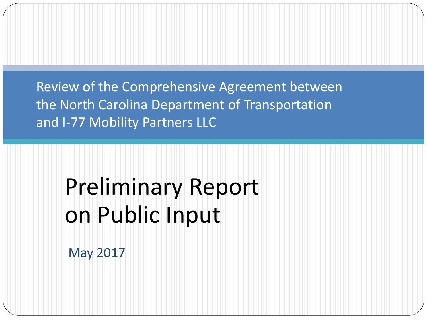Review of the Comprehensive Agreement between the North Carolina Department of Transportation and I-77 Mobility Partners LLC

# Preliminary Report on Public Input

May 2017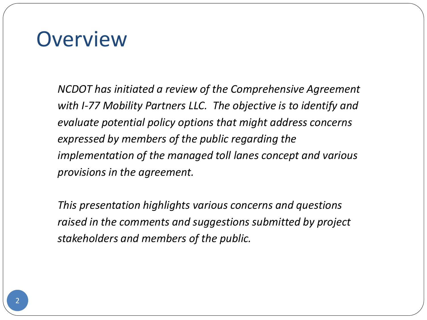#### **Overview**

*NCDOT has initiated a review of the Comprehensive Agreement with I-77 Mobility Partners LLC. The objective is to identify and evaluate potential policy options that might address concerns expressed by members of the public regarding the implementation of the managed toll lanes concept and various provisions in the agreement.* 

*This presentation highlights various concerns and questions raised in the comments and suggestions submitted by project stakeholders and members of the public.*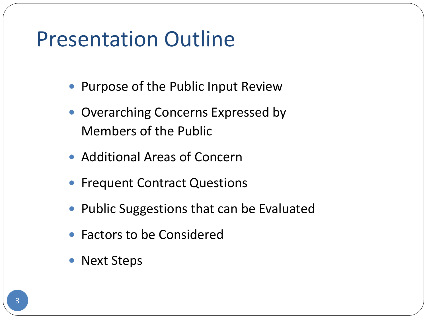#### Presentation Outline

- Purpose of the Public Input Review
- Overarching Concerns Expressed by Members of the Public
- Additional Areas of Concern
- Frequent Contract Questions
- Public Suggestions that can be Evaluated
- Factors to be Considered
- Next Steps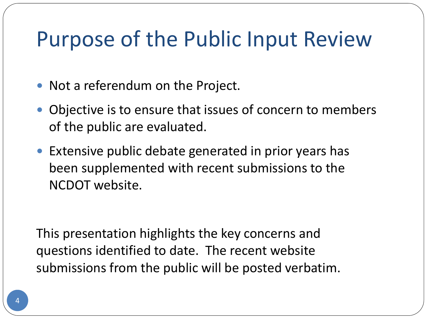## Purpose of the Public Input Review

- Not a referendum on the Project.
- Objective is to ensure that issues of concern to members of the public are evaluated.
- Extensive public debate generated in prior years has been supplemented with recent submissions to the NCDOT website.

This presentation highlights the key concerns and questions identified to date. The recent website submissions from the public will be posted verbatim.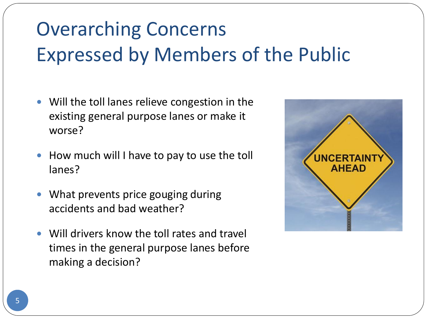# Overarching Concerns Expressed by Members of the Public

- Will the toll lanes relieve congestion in the existing general purpose lanes or make it worse?
- How much will I have to pay to use the toll lanes?
- What prevents price gouging during accidents and bad weather?
- Will drivers know the toll rates and travel times in the general purpose lanes before making a decision?

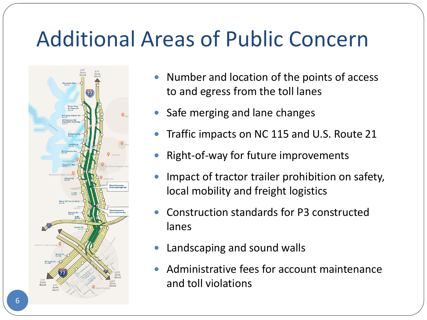# Additional Areas of Public Concern



- Number and location of the points of access to and egress from the toll lanes
- Safe merging and lane changes
- Traffic impacts on NC 115 and U.S. Route 21
- Right-of-way for future improvements
- Impact of tractor trailer prohibition on safety, local mobility and freight logistics
- Construction standards for P3 constructed lanes
- Landscaping and sound walls
- Administrative fees for account maintenance and toll violations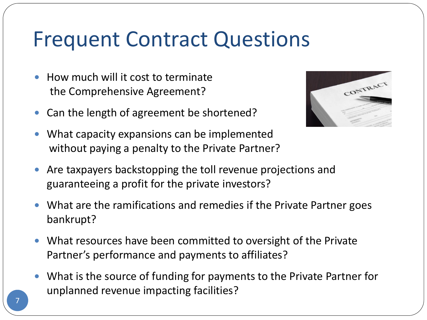#### Frequent Contract Questions

- How much will it cost to terminate the Comprehensive Agreement?
- Can the length of agreement be shortened?



- What capacity expansions can be implemented without paying a penalty to the Private Partner?
- Are taxpayers backstopping the toll revenue projections and guaranteeing a profit for the private investors?
- What are the ramifications and remedies if the Private Partner goes bankrupt?
- What resources have been committed to oversight of the Private Partner's performance and payments to affiliates?
- What is the source of funding for payments to the Private Partner for unplanned revenue impacting facilities?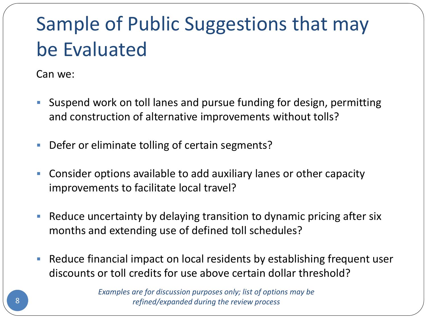# Sample of Public Suggestions that may be Evaluated

Can we:

- Suspend work on toll lanes and pursue funding for design, permitting and construction of alternative improvements without tolls?
- Defer or eliminate tolling of certain segments?
- Consider options available to add auxiliary lanes or other capacity improvements to facilitate local travel?
- Reduce uncertainty by delaying transition to dynamic pricing after six months and extending use of defined toll schedules?
- Reduce financial impact on local residents by establishing frequent user discounts or toll credits for use above certain dollar threshold?

*Examples are for discussion purposes only; list of options may be refined/expanded during the review process*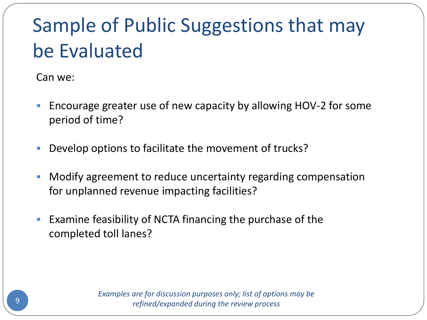# Sample of Public Suggestions that may be Evaluated

Can we:

- **Encourage greater use of new capacity by allowing HOV-2 for some** period of time?
- Develop options to facilitate the movement of trucks?
- Modify agreement to reduce uncertainty regarding compensation for unplanned revenue impacting facilities?
- **Examine feasibility of NCTA financing the purchase of the** completed toll lanes?

*Examples are for discussion purposes only; list of options may be refined/expanded during the review process*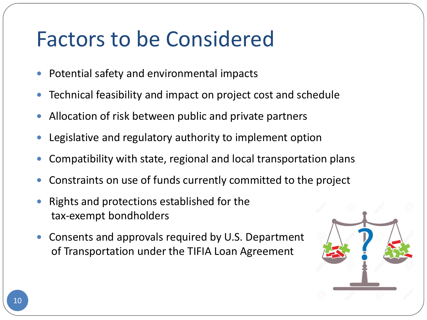# Factors to be Considered

- Potential safety and environmental impacts
- Technical feasibility and impact on project cost and schedule
- Allocation of risk between public and private partners
- Legislative and regulatory authority to implement option
- Compatibility with state, regional and local transportation plans
- Constraints on use of funds currently committed to the project
- Rights and protections established for the tax-exempt bondholders
- Consents and approvals required by U.S. Department of Transportation under the TIFIA Loan Agreement